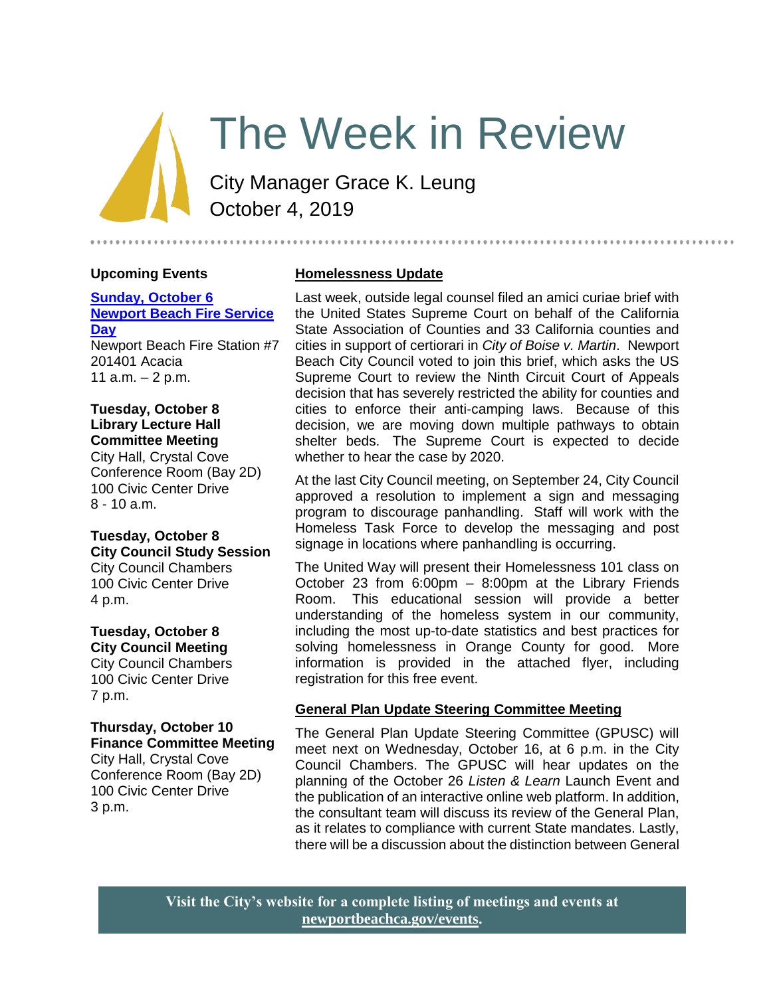# The Week in Review

City Manager Grace K. Leung October 4, 2019

## **Upcoming Events**

## **[Sunday, October 6](https://www.newportbeachca.gov/Home/Components/Calendar/Event/58909/72) [Newport Beach Fire Service](https://www.newportbeachca.gov/Home/Components/Calendar/Event/58909/72)  [Day](https://www.newportbeachca.gov/Home/Components/Calendar/Event/58909/72)** Newport Beach Fire Station #7

201401 Acacia 11  $a.m. - 2 p.m.$ 

#### **Tuesday, October 8 Library Lecture Hall Committee Meeting**

City Hall, Crystal Cove Conference Room (Bay 2D) 100 Civic Center Drive 8 - 10 a.m.

## **Tuesday, October 8 City Council Study Session**

City Council Chambers 100 Civic Center Drive 4 p.m.

#### **Tuesday, October 8 City Council Meeting**

City Council Chambers 100 Civic Center Drive 7 p.m.

# **Thursday, October 10**

**Finance Committee Meeting** City Hall, Crystal Cove Conference Room (Bay 2D) 100 Civic Center Drive 3 p.m.

## **Homelessness Update**

Last week, outside legal counsel filed an amici curiae brief with the United States Supreme Court on behalf of the California State Association of Counties and 33 California counties and cities in support of certiorari in *City of Boise v. Martin*. Newport Beach City Council voted to join this brief, which asks the US Supreme Court to review the Ninth Circuit Court of Appeals decision that has severely restricted the ability for counties and cities to enforce their anti-camping laws. Because of this decision, we are moving down multiple pathways to obtain shelter beds. The Supreme Court is expected to decide whether to hear the case by 2020.

At the last City Council meeting, on September 24, City Council approved a resolution to implement a sign and messaging program to discourage panhandling. Staff will work with the Homeless Task Force to develop the messaging and post signage in locations where panhandling is occurring.

The United Way will present their Homelessness 101 class on October 23 from 6:00pm – 8:00pm at the Library Friends Room. This educational session will provide a better understanding of the homeless system in our community, including the most up-to-date statistics and best practices for solving homelessness in Orange County for good. More information is provided in the attached flyer, including registration for this free event.

# **General Plan Update Steering Committee Meeting**

The General Plan Update Steering Committee (GPUSC) will meet next on Wednesday, October 16, at 6 p.m. in the City Council Chambers. The GPUSC will hear updates on the planning of the October 26 *Listen & Learn* Launch Event and the publication of an interactive online web platform. In addition, the consultant team will discuss its review of the General Plan, as it relates to compliance with current State mandates. Lastly, there will be a discussion about the distinction between General

**Visit the City's website for a complete listing of meetings and events at [newportbeachca.gov/events.](https://www.newportbeachca.gov/government/open-government/city-calendar)**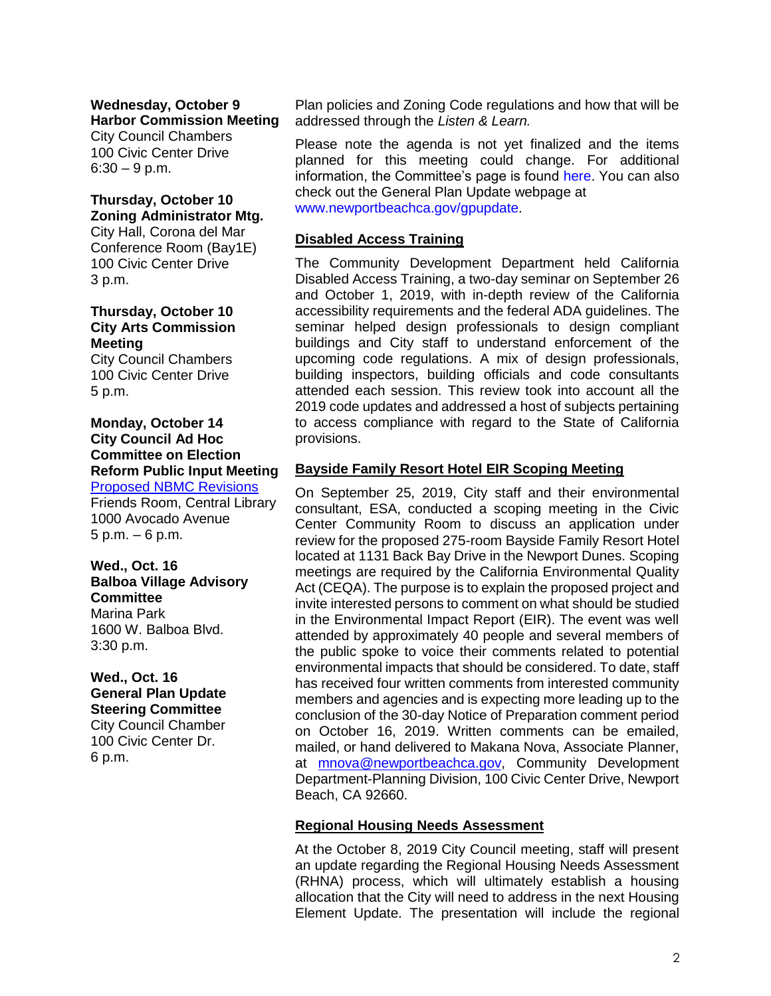**Wednesday, October 9**

**Harbor Commission Meeting** City Council Chambers 100 Civic Center Drive  $6:30 - 9$  p.m.

## **Thursday, October 10 Zoning Administrator Mtg.**

City Hall, Corona del Mar Conference Room (Bay1E) 100 Civic Center Drive 3 p.m.

## **Thursday, October 10 City Arts Commission Meeting**

City Council Chambers 100 Civic Center Drive 5 p.m.

## **Monday, October 14 City Council Ad Hoc Committee on Election Reform Public Input Meeting**

[Proposed NBMC Revisions](https://www.newportbeachca.gov/Home/Components/Calendar/Event/58174/72?curm=10&cury=2019) Friends Room, Central Library 1000 Avocado Avenue 5 p.m. – 6 p.m.

## **Wed., Oct. 16 Balboa Village Advisory Committee** Marina Park 1600 W. Balboa Blvd. 3:30 p.m.

# **Wed., Oct. 16 General Plan Update Steering Committee**

City Council Chamber 100 Civic Center Dr. 6 p.m.

Plan policies and Zoning Code regulations and how that will be addressed through the *Listen & Learn.*

Please note the agenda is not yet finalized and the items planned for this meeting could change. For additional information, the Committee's page is found [here.](https://www.newportbeachca.gov/government/departments/community-development/planning-division/general-plan-codes-and-regulations/general-plan-update/general-plan-update-steering-committee) You can also check out the General Plan Update webpage at [www.newportbeachca.gov/gpupdate.](http://www.newportbeachca.gov/gpupdate)

## **Disabled Access Training**

The Community Development Department held California Disabled Access Training, a two-day seminar on September 26 and October 1, 2019, with in-depth review of the California accessibility requirements and the federal ADA guidelines. The seminar helped design professionals to design compliant buildings and City staff to understand enforcement of the upcoming code regulations. A mix of design professionals, building inspectors, building officials and code consultants attended each session. This review took into account all the 2019 code updates and addressed a host of subjects pertaining to access compliance with regard to the State of California provisions.

## **Bayside Family Resort Hotel EIR Scoping Meeting**

On September 25, 2019, City staff and their environmental consultant, ESA, conducted a scoping meeting in the Civic Center Community Room to discuss an application under review for the proposed 275-room Bayside Family Resort Hotel located at 1131 Back Bay Drive in the Newport Dunes. Scoping meetings are required by the California Environmental Quality Act (CEQA). The purpose is to explain the proposed project and invite interested persons to comment on what should be studied in the Environmental Impact Report (EIR). The event was well attended by approximately 40 people and several members of the public spoke to voice their comments related to potential environmental impacts that should be considered. To date, staff has received four written comments from interested community members and agencies and is expecting more leading up to the conclusion of the 30-day Notice of Preparation comment period on October 16, 2019. Written comments can be emailed, mailed, or hand delivered to Makana Nova, Associate Planner, at [mnova@newportbeachca.gov,](mailto:mnova@newportbeachca.gov) Community Development Department-Planning Division, 100 Civic Center Drive, Newport Beach, CA 92660.

# **Regional Housing Needs Assessment**

At the October 8, 2019 City Council meeting, staff will present an update regarding the Regional Housing Needs Assessment (RHNA) process, which will ultimately establish a housing allocation that the City will need to address in the next Housing Element Update. The presentation will include the regional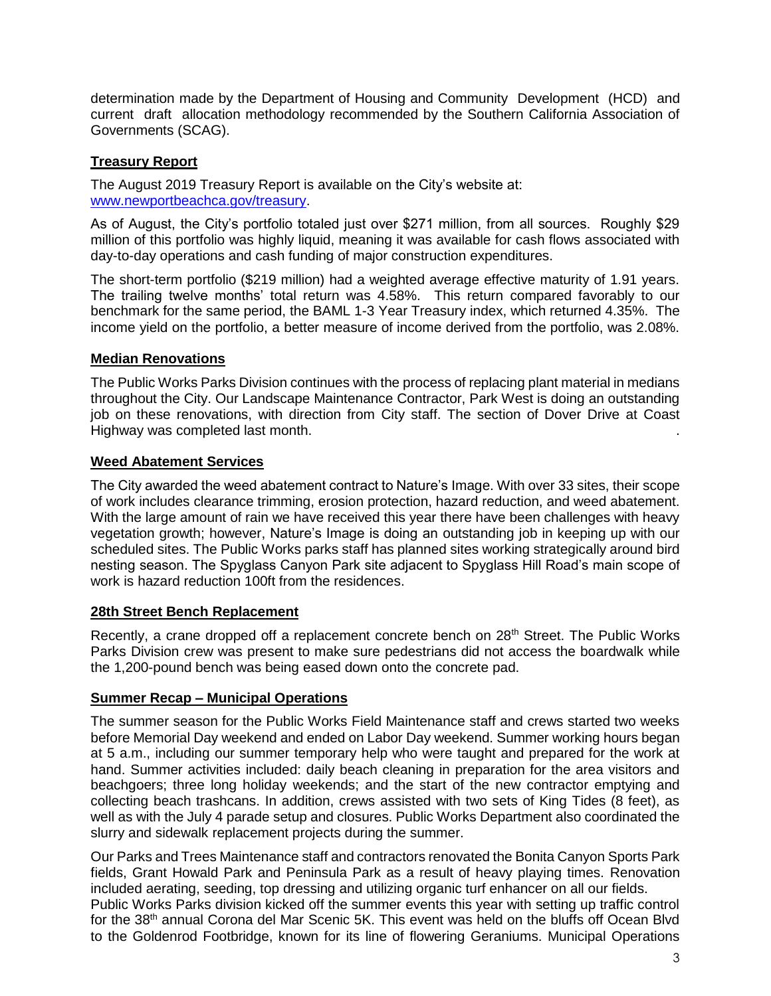determination made by the Department of Housing and Community Development (HCD) and current draft allocation methodology recommended by the Southern California Association of Governments (SCAG).

# **Treasury Report**

The August 2019 Treasury Report is available on the City's website at: [www.newportbeachca.gov/treasury.](http://www.newportbeachca.gov/treasury)

As of August, the City's portfolio totaled just over \$271 million, from all sources. Roughly \$29 million of this portfolio was highly liquid, meaning it was available for cash flows associated with day-to-day operations and cash funding of major construction expenditures.

The short-term portfolio (\$219 million) had a weighted average effective maturity of 1.91 years. The trailing twelve months' total return was 4.58%. This return compared favorably to our benchmark for the same period, the BAML 1-3 Year Treasury index, which returned 4.35%. The income yield on the portfolio, a better measure of income derived from the portfolio, was 2.08%.

## **Median Renovations**

The Public Works Parks Division continues with the process of replacing plant material in medians throughout the City. Our Landscape Maintenance Contractor, Park West is doing an outstanding job on these renovations, with direction from City staff. The section of Dover Drive at Coast Highway was completed last month. .

## **Weed Abatement Services**

The City awarded the weed abatement contract to Nature's Image. With over 33 sites, their scope of work includes clearance trimming, erosion protection, hazard reduction, and weed abatement. With the large amount of rain we have received this year there have been challenges with heavy vegetation growth; however, Nature's Image is doing an outstanding job in keeping up with our scheduled sites. The Public Works parks staff has planned sites working strategically around bird nesting season. The Spyglass Canyon Park site adjacent to Spyglass Hill Road's main scope of work is hazard reduction 100ft from the residences.

## **28th Street Bench Replacement**

Recently, a crane dropped off a replacement concrete bench on 28<sup>th</sup> Street. The Public Works Parks Division crew was present to make sure pedestrians did not access the boardwalk while the 1,200-pound bench was being eased down onto the concrete pad.

## **Summer Recap – Municipal Operations**

The summer season for the Public Works Field Maintenance staff and crews started two weeks before Memorial Day weekend and ended on Labor Day weekend. Summer working hours began at 5 a.m., including our summer temporary help who were taught and prepared for the work at hand. Summer activities included: daily beach cleaning in preparation for the area visitors and beachgoers; three long holiday weekends; and the start of the new contractor emptying and collecting beach trashcans. In addition, crews assisted with two sets of King Tides (8 feet), as well as with the July 4 parade setup and closures. Public Works Department also coordinated the slurry and sidewalk replacement projects during the summer.

Our Parks and Trees Maintenance staff and contractors renovated the Bonita Canyon Sports Park fields, Grant Howald Park and Peninsula Park as a result of heavy playing times. Renovation included aerating, seeding, top dressing and utilizing organic turf enhancer on all our fields. Public Works Parks division kicked off the summer events this year with setting up traffic control for the 38<sup>th</sup> annual Corona del Mar Scenic 5K. This event was held on the bluffs off Ocean Blvd to the Goldenrod Footbridge, known for its line of flowering Geraniums. Municipal Operations